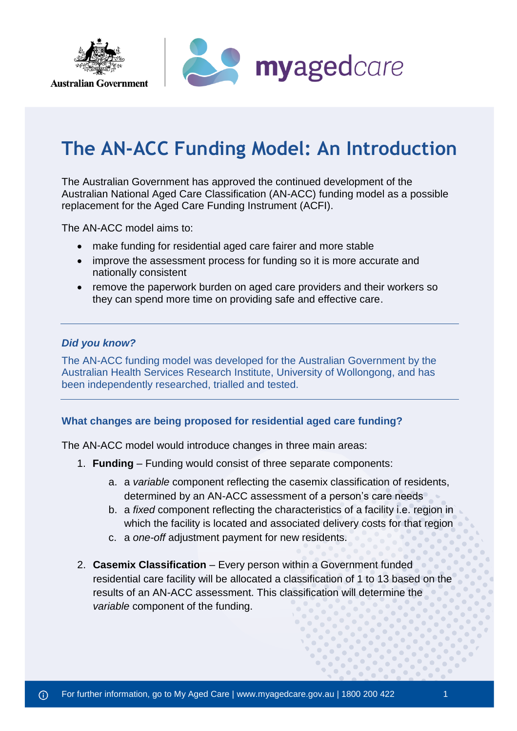

# **The AN-ACC Funding Model: An Introduction**

The Australian Government has approved the continued development of the [Australian National Aged Care Classification \(AN-ACC\)](https://www.health.gov.au/sites/default/files/documents/2020/10/budget-2020-21-aged-care-preparatory-funding-model-to-support-better-care-and-funding-outcomes-an-acc.pdf) funding model as a possible replacement for the Aged Care Funding Instrument (ACFI).

The AN-ACC model aims to:

- make funding for residential aged care fairer and more stable
- improve the assessment process for funding so it is more accurate and nationally consistent
- remove the paperwork burden on aged care providers and their workers so they can spend more time on providing safe and effective care.

## *Did you know?*

**Australian Government** 

The AN-ACC funding model was developed for the Australian Government by the Australian Health Services Research Institute, University of Wollongong, and has been independently researched, trialled and tested.

#### **What changes are being proposed for residential aged care funding?**

The AN-ACC model would introduce changes in three main areas:

- 1. **Funding** Funding would consist of three separate components:
	- a. a *variable* component reflecting the casemix classification of residents, determined by an AN-ACC assessment of a person's care needs
	- b. a *fixed* component reflecting the characteristics of a facility i.e. region in which the facility is located and associated delivery costs for that region
	- c. a *one-off* adjustment payment for new residents.
- 2. **Casemix Classification** Every person within a Government funded residential care facility will be allocated a classification of 1 to 13 based on the results of an AN-ACC assessment. This classification will determine the *variable* component of the funding.